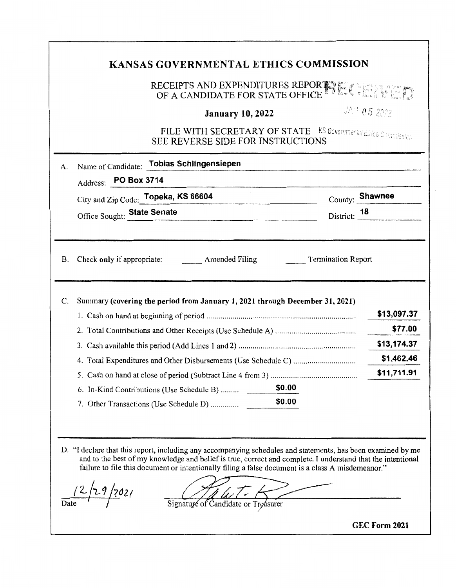|          |                             |                                           | RECEIPTS AND EXPENDITURES REPORTLY ESTATE OF A CANDIDATE FOR STATE OFFICE                           |                           |                                                     |
|----------|-----------------------------|-------------------------------------------|-----------------------------------------------------------------------------------------------------|---------------------------|-----------------------------------------------------|
|          |                             |                                           | <b>January 10, 2022</b>                                                                             |                           | JAN 05 2022                                         |
|          |                             |                                           | FILE WITH SECRETARY OF STATE KS Governmental Ethics Commission<br>SEE REVERSE SIDE FOR INSTRUCTIONS |                           |                                                     |
| Α.       |                             | Name of Candidate: Tobias Schlingensiepen |                                                                                                     |                           |                                                     |
|          | Address: PO Box 3714        |                                           |                                                                                                     |                           |                                                     |
|          |                             | City and Zip Code: Topeka, KS 66604       |                                                                                                     |                           | County: Shawnee                                     |
|          | Office Sought: State Senate |                                           |                                                                                                     | District: 18              |                                                     |
| B.<br>C. |                             | Check only if appropriate: Amended Filing | Summary (covering the period from January 1, 2021 through December 31, 2021)                        | <b>Termination Report</b> | \$13,097.37                                         |
|          |                             |                                           |                                                                                                     |                           |                                                     |
|          |                             |                                           |                                                                                                     |                           |                                                     |
|          |                             |                                           | 5. Cash on hand at close of period (Subtract Line 4 from 3)                                         |                           |                                                     |
|          |                             | 6. In-Kind Contributions (Use Schedule B) | \$0.00                                                                                              |                           |                                                     |
|          |                             | 7. Other Transactions (Use Schedule D)    | \$0.00                                                                                              |                           | \$77.00<br>\$13,174.37<br>\$1,462.46<br>\$11,711.91 |
|          |                             |                                           |                                                                                                     |                           |                                                     |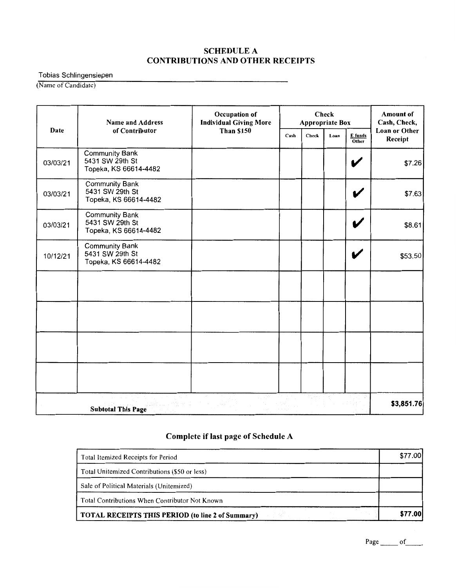#### SCHEDULE A CONTRIBUTIONS AND OTHER RECEIPTS

Tobias Schlingensiepen

(Name of Candidate)

|             | <b>Name and Address</b>                                           | Occupation of<br><b>Individual Giving More</b> |      | <b>Check</b><br><b>Appropriate Box</b> | <b>Amount of</b><br>Cash, Check, |                  |                                 |
|-------------|-------------------------------------------------------------------|------------------------------------------------|------|----------------------------------------|----------------------------------|------------------|---------------------------------|
| <b>Date</b> | of Contributor                                                    | <b>Than \$150</b>                              | Cash | Check                                  | Loan                             | E funds<br>Other | <b>Loan or Other</b><br>Receipt |
| 03/03/21    | <b>Community Bank</b><br>5431 SW 29th St<br>Topeka, KS 66614-4482 |                                                |      |                                        |                                  | V                | \$7.26                          |
| 03/03/21    | <b>Community Bank</b><br>5431 SW 29th St<br>Topeka, KS 66614-4482 |                                                |      |                                        |                                  | V                | \$7.63                          |
| 03/03/21    | <b>Community Bank</b><br>5431 SW 29th St<br>Topeka, KS 66614-4482 |                                                |      |                                        |                                  |                  | \$8.61                          |
| 10/12/21    | <b>Community Bank</b><br>5431 SW 29th St<br>Topeka, KS 66614-4482 |                                                |      |                                        |                                  | V                | \$53.50                         |
|             |                                                                   |                                                |      |                                        |                                  |                  |                                 |
|             |                                                                   |                                                |      |                                        |                                  |                  |                                 |
|             |                                                                   |                                                |      |                                        |                                  |                  |                                 |
|             |                                                                   |                                                |      |                                        |                                  |                  |                                 |
|             | <b>Subtotal This Page</b>                                         |                                                |      |                                        |                                  |                  | \$3,851.76                      |

# **Complete if last page of Schedule A**

| Total Itemized Receipts for Period                       | \$77.00        |
|----------------------------------------------------------|----------------|
| Total Unitemized Contributions (\$50 or less)            |                |
| Sale of Political Materials (Unitemized)                 |                |
| Total Contributions When Contributor Not Known           |                |
| <b>TOTAL RECEIPTS THIS PERIOD (to line 2 of Summary)</b> | <b>\$77.00</b> |

Page \_\_\_\_\_\_\_ of \_\_\_\_\_\_\_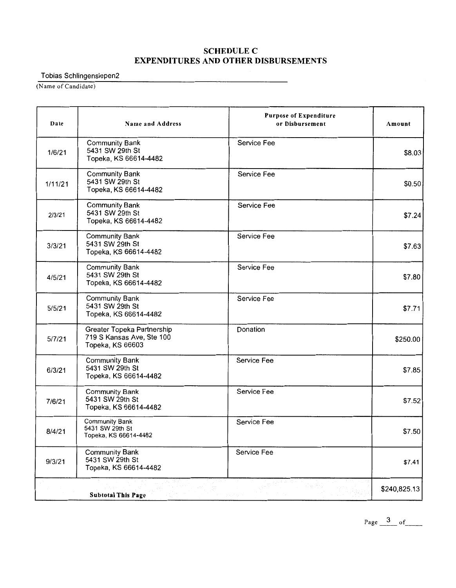### SCHEDULE C EXPENDITURES AND OTHER DISBURSEMENTS

Tobias Schlingensiepen2

(Name of Candidate)

| Date    | Name and Address                                                            | <b>Purpose of Expenditure</b><br>or Disbursement | Amount       |
|---------|-----------------------------------------------------------------------------|--------------------------------------------------|--------------|
| 1/6/21  | <b>Community Bank</b><br>5431 SW 29th St<br>Topeka, KS 66614-4482           | Service Fee                                      | \$8.03       |
| 1/11/21 | <b>Community Bank</b><br>5431 SW 29th St<br>Topeka, KS 66614-4482           | Service Fee                                      | \$0.50       |
| 2/3/21  | <b>Community Bank</b><br>5431 SW 29th St<br>Topeka, KS 66614-4482           | Service Fee                                      | \$7.24       |
| 3/3/21  | <b>Community Bank</b><br>5431 SW 29th St<br>Topeka, KS 66614-4482           | Service Fee                                      | \$7.63       |
| 4/5/21  | <b>Community Bank</b><br>5431 SW 29th St<br>Topeka, KS 66614-4482           | Service Fee                                      | \$7.80       |
| 5/5/21  | <b>Community Bank</b><br>5431 SW 29th St<br>Topeka, KS 66614-4482           | Service Fee                                      | \$7.71       |
| 5/7/21  | Greater Topeka Partnership<br>719 S Kansas Ave, Ste 100<br>Topeka, KS 66603 | Donation                                         | \$250.00     |
| 6/3/21  | <b>Community Bank</b><br>5431 SW 29th St<br>Topeka, KS 66614-4482           | Service Fee                                      | \$7.85       |
| 7/6/21  | <b>Community Bank</b><br>5431 SW 29th St<br>Topeka, KS 66614-4482           | Service Fee                                      | \$7.52       |
| 8/4/21  | <b>Community Bank</b><br>5431 SW 29th St<br>Topeka, KS 66614-4482           | Service Fee                                      | \$7.50       |
| 9/3/21  | <b>Community Bank</b><br>5431 SW 29th St<br>Topeka, KS 66614-4482           | Service Fee                                      | \$7.41       |
|         | <b>Subtotal This Page</b>                                                   |                                                  | \$240,825.13 |

Page \_ 3 \_\_ of \_\_ \_